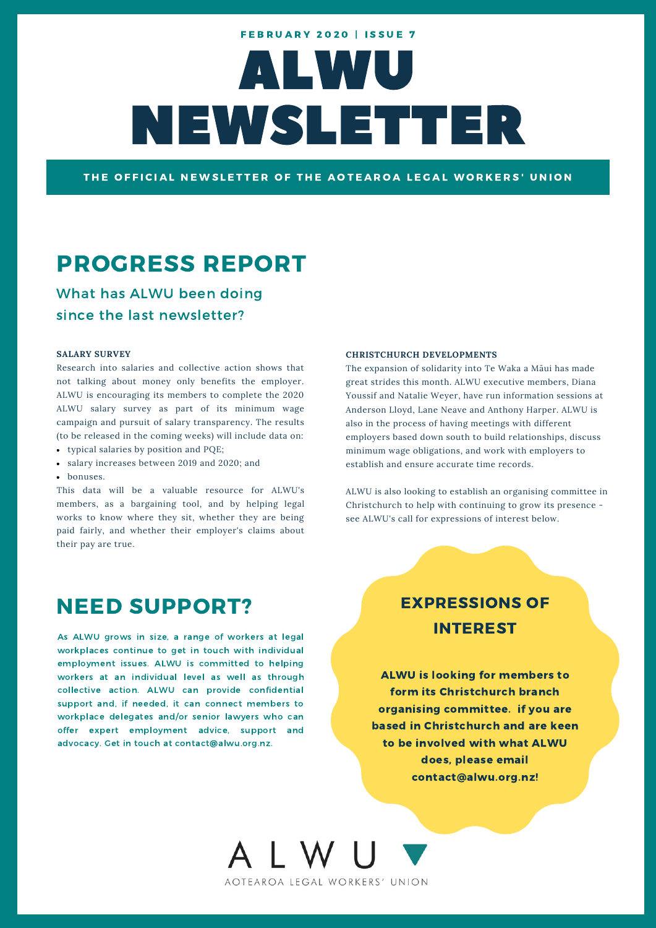# ALWU NEWSLETTER **FEBRUARY 2020 | ISSUE 7**

THE OFFICIAL NEWSLETTER OF THE AOTEAROA LEGAL WORKERS' UNION

## PROGRESS REPORT

What has ALWU been doing since the last newsletter?

#### **SALARY SURVEY**

Research into salaries and collective action shows that not talking about money only benefits the employer. ALWU is encouraging its members to complete the 2020 ALWU salary survey as part of its minimum wage campaign and pursuit of salary transparency. The results (to be released in the coming weeks) will include data on:

- typical salaries by position and PQE;
- salary increases between 2019 and 2020; and
- bonuses.

This data will be a valuable resource for ALWU's members, as a bargaining tool, and by helping legal works to know where they sit, whether they are being paid fairly, and whether their employer's claims about their pay are true.

### NEED SUPPORT?

As ALWU grows in size, a range of workers at legal workplaces continue to get in touch with individual employment issues. ALWU is committed to helping workers at an individual level as well as through collective action. ALWU can provide confidential support and, if needed, it can connect members to workplace delegates and/or senior lawyers who can offer expert employment advice, support and advocacy. Get in touch at contact@alwu.org.nz.

#### **CHRISTCHURCH DEVELOPMENTS**

The expansion of solidarity into Te Waka a Māui has made great strides this month. ALWU executive members, Diana Youssif and Natalie Weyer, have run information sessions at Anderson Lloyd, Lane Neave and Anthony Harper. ALWU is also in the process of having meetings with different employers based down south to build relationships, discuss minimum wage obligations, and work with employers to establish and ensure accurate time records.

ALWU is also looking to establish an organising committee in Christchurch to help with continuing to grow its presence see ALWU's call for expressions of interest below.

### EXPRESSIONS OF INTEREST

ALWU is looking for members to form its Christchurch branch organising committee. if you are based in Christchurch and are keen to be involved with what ALWU does, please email contact@alwu.org.nz!

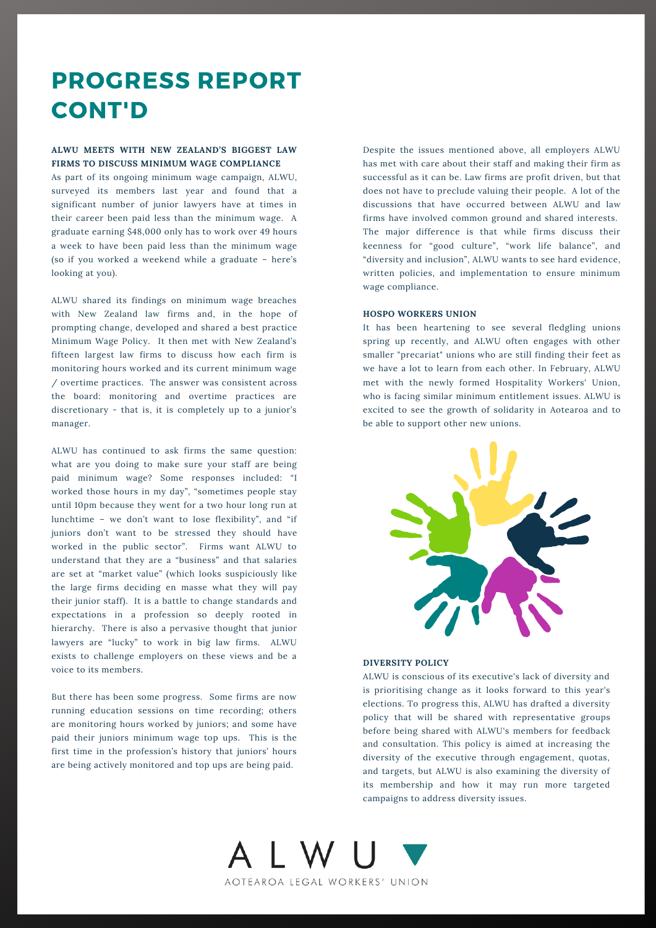# PROGRESS REPORT CONT'D

#### **ALWU MEETS WITH NEW ZEALAND'S BIGGEST LAW FIRMS TO DISCUSS MINIMUM WAGE COMPLIANCE**

As part of its ongoing minimum wage campaign, ALWU, surveyed its members last year and found that a significant number of junior lawyers have at times in their career been paid less than the minimum wage. A graduate earning \$48,000 only has to work over 49 hours a week to have been paid less than the minimum wage (so if you worked a weekend while a graduate – here's looking at you).

ALWU shared its findings on minimum wage breaches with New Zealand law firms and, in the hope of prompting change, developed and shared a best practice Minimum Wage Policy. It then met with New Zealand's fifteen largest law firms to discuss how each firm is monitoring hours worked and its current minimum wage / overtime practices. The answer was consistent across the board: monitoring and overtime practices are discretionary - that is, it is completely up to a junior's manager.

ALWU has continued to ask firms the same question: what are you doing to make sure your staff are being paid minimum wage? Some responses included: "I worked those hours in my day", "sometimes people stay until 10pm because they went for a two hour long run at lunchtime – we don't want to lose flexibility", and "if juniors don't want to be stressed they should have worked in the public sector". Firms want ALWU to understand that they are a "business" and that salaries are set at "market value" (which looks suspiciously like the large firms deciding en masse what they will pay their junior staff). It is a battle to change standards and expectations in a profession so deeply rooted in hierarchy. There is also a pervasive thought that junior lawyers are "lucky" to work in big law firms. ALWU exists to challenge employers on these views and be a voice to its members.

But there has been some progress. Some firms are now running education sessions on time recording; others are monitoring hours worked by juniors; and some have paid their juniors minimum wage top ups. This is the first time in the profession's history that juniors' hours are being actively monitored and top ups are being paid.

Despite the issues mentioned above, all employers ALWU has met with care about their staff and making their firm as successful as it can be. Law firms are profit driven, but that does not have to preclude valuing their people. A lot of the discussions that have occurred between ALWU and law firms have involved common ground and shared interests. The major difference is that while firms discuss their keenness for "good culture", "work life balance", and "diversity and inclusion", ALWU wants to see hard evidence, written policies, and implementation to ensure minimum wage compliance.

#### **HOSPO WORKERS UNION**

It has been heartening to see several fledgling unions spring up recently, and ALWU often engages with other smaller "precariat" unions who are still finding their feet as we have a lot to learn from each other. In February, ALWU met with the newly formed Hospitality Workers' Union, who is facing similar minimum entitlement issues. ALWU is excited to see the growth of solidarity in Aotearoa and to be able to support other new unions.



#### **DIVERSITY POLICY**

ALWU is conscious of its executive's lack of diversity and is prioritising change as it looks forward to this year's elections. To progress this, ALWU has drafted a diversity policy that will be shared with representative groups before being shared with ALWU's members for feedback and consultation. This policy is aimed at increasing the diversity of the executive through engagement, quotas, and targets, but ALWU is also examining the diversity of its membership and how it may run more targeted campaigns to address diversity issues.